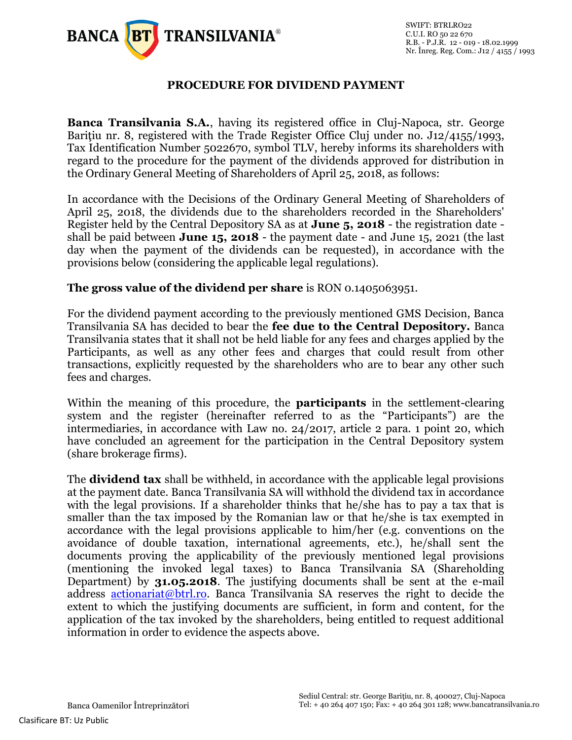

## **PROCEDURE FOR DIVIDEND PAYMENT**

**Banca Transilvania S.A.**, having its registered office in Cluj-Napoca, str. George Baritiu nr. 8, registered with the Trade Register Office Cluj under no. J12/4155/1993, Tax Identification Number 5022670, symbol TLV, hereby informs its shareholders with regard to the procedure for the payment of the dividends approved for distribution in the Ordinary General Meeting of Shareholders of April 25, 2018, as follows:

In accordance with the Decisions of the Ordinary General Meeting of Shareholders of April 25, 2018, the dividends due to the shareholders recorded in the Shareholders' Register held by the Central Depository SA as at **June 5, 2018** - the registration date shall be paid between **June 15, 2018** - the payment date - and June 15, 2021 (the last day when the payment of the dividends can be requested), in accordance with the provisions below (considering the applicable legal regulations).

#### **The gross value of the dividend per share** is RON 0.1405063951.

For the dividend payment according to the previously mentioned GMS Decision, Banca Transilvania SA has decided to bear the **fee due to the Central Depository.** Banca Transilvania states that it shall not be held liable for any fees and charges applied by the Participants, as well as any other fees and charges that could result from other transactions, explicitly requested by the shareholders who are to bear any other such fees and charges.

Within the meaning of this procedure, the **participants** in the settlement-clearing system and the register (hereinafter referred to as the "Participants") are the intermediaries, in accordance with Law no. 24/2017, article 2 para. 1 point 20, which have concluded an agreement for the participation in the Central Depository system (share brokerage firms).

The **dividend tax** shall be withheld, in accordance with the applicable legal provisions at the payment date. Banca Transilvania SA will withhold the dividend tax in accordance with the legal provisions. If a shareholder thinks that he/she has to pay a tax that is smaller than the tax imposed by the Romanian law or that he/she is tax exempted in accordance with the legal provisions applicable to him/her (e.g. conventions on the avoidance of double taxation, international agreements, etc.), he/shall sent the documents proving the applicability of the previously mentioned legal provisions (mentioning the invoked legal taxes) to Banca Transilvania SA (Shareholding Department) by **31.05.2018**. The justifying documents shall be sent at the e-mail address [actionariat@btrl.ro.](mailto:actionariat@btrl.ro) Banca Transilvania SA reserves the right to decide the extent to which the justifying documents are sufficient, in form and content, for the application of the tax invoked by the shareholders, being entitled to request additional information in order to evidence the aspects above.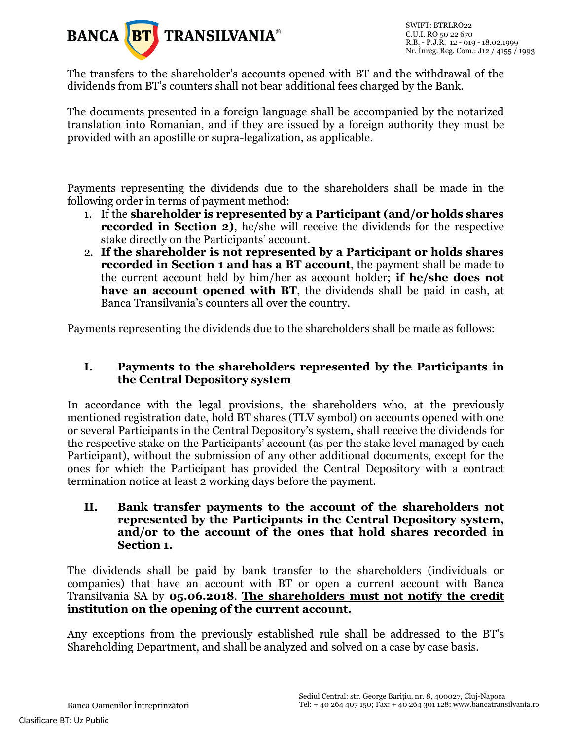

The transfers to the shareholder's accounts opened with BT and the withdrawal of the dividends from BT's counters shall not bear additional fees charged by the Bank.

The documents presented in a foreign language shall be accompanied by the notarized translation into Romanian, and if they are issued by a foreign authority they must be provided with an apostille or supra-legalization, as applicable.

Payments representing the dividends due to the shareholders shall be made in the following order in terms of payment method:

- 1. If the **shareholder is represented by a Participant (and/or holds shares recorded in Section 2)**, he/she will receive the dividends for the respective stake directly on the Participants' account.
- 2. **If the shareholder is not represented by a Participant or holds shares recorded in Section 1 and has a BT account**, the payment shall be made to the current account held by him/her as account holder; **if he/she does not have an account opened with BT**, the dividends shall be paid in cash, at Banca Transilvania's counters all over the country.

Payments representing the dividends due to the shareholders shall be made as follows:

#### **I. Payments to the shareholders represented by the Participants in the Central Depository system**

In accordance with the legal provisions, the shareholders who, at the previously mentioned registration date, hold BT shares (TLV symbol) on accounts opened with one or several Participants in the Central Depository's system, shall receive the dividends for the respective stake on the Participants' account (as per the stake level managed by each Participant), without the submission of any other additional documents, except for the ones for which the Participant has provided the Central Depository with a contract termination notice at least 2 working days before the payment.

**II. Bank transfer payments to the account of the shareholders not represented by the Participants in the Central Depository system, and/or to the account of the ones that hold shares recorded in Section 1.**

The dividends shall be paid by bank transfer to the shareholders (individuals or companies) that have an account with BT or open a current account with Banca Transilvania SA by **05.06.2018**. **The shareholders must not notify the credit institution on the opening of the current account.**

Any exceptions from the previously established rule shall be addressed to the BT's Shareholding Department, and shall be analyzed and solved on a case by case basis.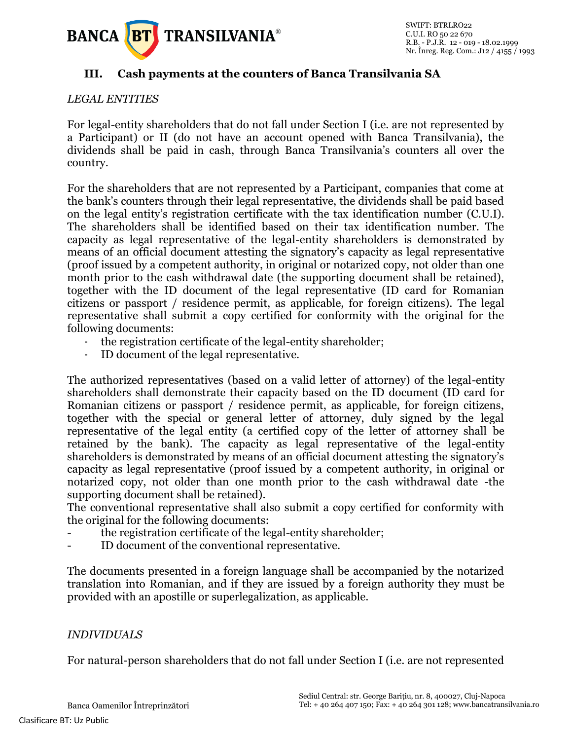

# **III. Cash payments at the counters of Banca Transilvania SA**

## *LEGAL ENTITIES*

For legal-entity shareholders that do not fall under Section I (i.e. are not represented by a Participant) or II (do not have an account opened with Banca Transilvania), the dividends shall be paid in cash, through Banca Transilvania's counters all over the country.

For the shareholders that are not represented by a Participant, companies that come at the bank's counters through their legal representative, the dividends shall be paid based on the legal entity's registration certificate with the tax identification number (C.U.I). The shareholders shall be identified based on their tax identification number. The capacity as legal representative of the legal-entity shareholders is demonstrated by means of an official document attesting the signatory's capacity as legal representative (proof issued by a competent authority, in original or notarized copy, not older than one month prior to the cash withdrawal date (the supporting document shall be retained), together with the ID document of the legal representative (ID card for Romanian citizens or passport / residence permit, as applicable, for foreign citizens). The legal representative shall submit a copy certified for conformity with the original for the following documents:

- the registration certificate of the legal-entity shareholder;
- ID document of the legal representative.

The authorized representatives (based on a valid letter of attorney) of the legal-entity shareholders shall demonstrate their capacity based on the ID document (ID card for Romanian citizens or passport / residence permit, as applicable, for foreign citizens, together with the special or general letter of attorney, duly signed by the legal representative of the legal entity (a certified copy of the letter of attorney shall be retained by the bank). The capacity as legal representative of the legal-entity shareholders is demonstrated by means of an official document attesting the signatory's capacity as legal representative (proof issued by a competent authority, in original or notarized copy, not older than one month prior to the cash withdrawal date -the supporting document shall be retained).

The conventional representative shall also submit a copy certified for conformity with the original for the following documents:

- the registration certificate of the legal-entity shareholder;
- ID document of the conventional representative.

The documents presented in a foreign language shall be accompanied by the notarized translation into Romanian, and if they are issued by a foreign authority they must be provided with an apostille or superlegalization, as applicable.

# *INDIVIDUALS*

For natural-person shareholders that do not fall under Section I (i.e. are not represented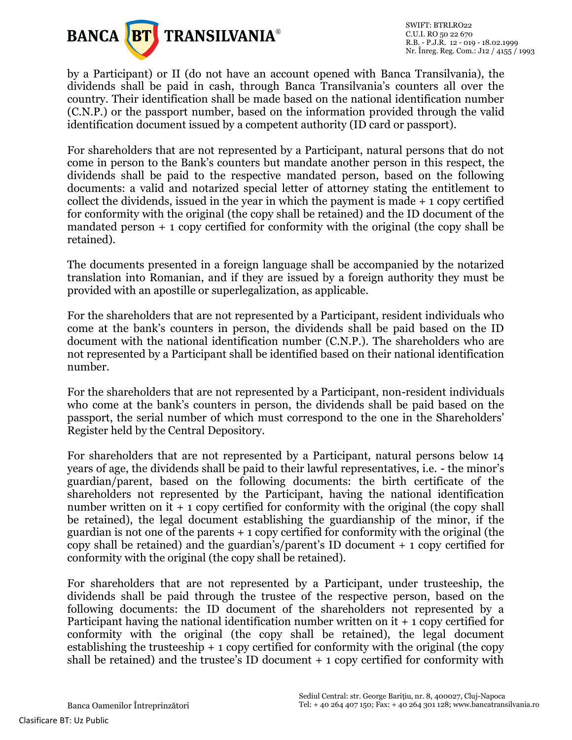

SWIFT: BTRLRO22 C.U.I. RO 50 22 670 R.B. - P.J.R. 12 - 019 - 18.02.1999 Nr. Înreg. Reg. Com.: J12 / 4155 / 1993

by a Participant) or II (do not have an account opened with Banca Transilvania), the dividends shall be paid in cash, through Banca Transilvania's counters all over the country. Their identification shall be made based on the national identification number (C.N.P.) or the passport number, based on the information provided through the valid identification document issued by a competent authority (ID card or passport).

For shareholders that are not represented by a Participant, natural persons that do not come in person to the Bank's counters but mandate another person in this respect, the dividends shall be paid to the respective mandated person, based on the following documents: a valid and notarized special letter of attorney stating the entitlement to collect the dividends, issued in the year in which the payment is made + 1 copy certified for conformity with the original (the copy shall be retained) and the ID document of the mandated person + 1 copy certified for conformity with the original (the copy shall be retained).

The documents presented in a foreign language shall be accompanied by the notarized translation into Romanian, and if they are issued by a foreign authority they must be provided with an apostille or superlegalization, as applicable.

For the shareholders that are not represented by a Participant, resident individuals who come at the bank's counters in person, the dividends shall be paid based on the ID document with the national identification number (C.N.P.). The shareholders who are not represented by a Participant shall be identified based on their national identification number.

For the shareholders that are not represented by a Participant, non-resident individuals who come at the bank's counters in person, the dividends shall be paid based on the passport, the serial number of which must correspond to the one in the Shareholders' Register held by the Central Depository.

For shareholders that are not represented by a Participant, natural persons below 14 years of age, the dividends shall be paid to their lawful representatives, i.e. - the minor's guardian/parent, based on the following documents: the birth certificate of the shareholders not represented by the Participant, having the national identification number written on it  $+1$  copy certified for conformity with the original (the copy shall be retained), the legal document establishing the guardianship of the minor, if the guardian is not one of the parents + 1 copy certified for conformity with the original (the copy shall be retained) and the guardian's/parent's ID document + 1 copy certified for conformity with the original (the copy shall be retained).

For shareholders that are not represented by a Participant, under trusteeship, the dividends shall be paid through the trustee of the respective person, based on the following documents: the ID document of the shareholders not represented by a Participant having the national identification number written on it + 1 copy certified for conformity with the original (the copy shall be retained), the legal document establishing the trusteeship + 1 copy certified for conformity with the original (the copy shall be retained) and the trustee's ID document + 1 copy certified for conformity with